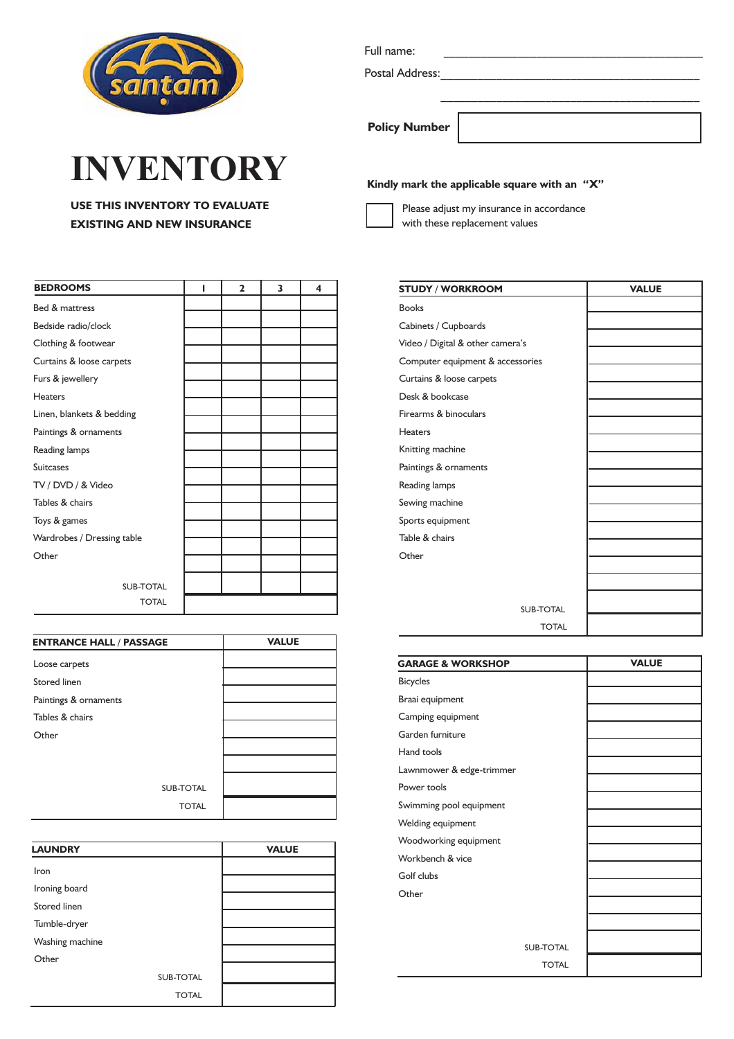

## **INVENTORY**

**USE THIS INVENTORY TO EVALUATE EXISTING AND NEW INSURANCE**

| <b>BEDROOMS</b>            | ı | $\overline{2}$ | 3 | 4 |
|----------------------------|---|----------------|---|---|
| Bed & mattress             |   |                |   |   |
| Bedside radio/clock        |   |                |   |   |
| Clothing & footwear        |   |                |   |   |
| Curtains & loose carpets   |   |                |   |   |
| Furs & jewellery           |   |                |   |   |
| <b>Heaters</b>             |   |                |   |   |
| Linen, blankets & bedding  |   |                |   |   |
| Paintings & ornaments      |   |                |   |   |
| Reading lamps              |   |                |   |   |
| <b>Suitcases</b>           |   |                |   |   |
| TV / DVD / & Video         |   |                |   |   |
| Tables & chairs            |   |                |   |   |
| Toys & games               |   |                |   |   |
| Wardrobes / Dressing table |   |                |   |   |
| Other                      |   |                |   |   |
| <b>SUB-TOTAL</b>           |   |                |   |   |
| <b>TOTAL</b>               |   |                |   |   |

| <b>ENTRANCE HALL / PASSAGE</b> | <b>VALUE</b> |
|--------------------------------|--------------|
| Loose carpets                  |              |
| <b>Stored linen</b>            |              |
| Paintings & ornaments          |              |
| Tables & chairs                |              |
| Other                          |              |
|                                |              |
|                                |              |
| <b>SUB-TOTAL</b>               |              |
| <b>TOTAL</b>                   |              |

| <b>LAUNDRY</b>      |                  | <b>VALUE</b> |
|---------------------|------------------|--------------|
| Iron                |                  |              |
| Ironing board       |                  |              |
| <b>Stored linen</b> |                  |              |
| Tumble-dryer        |                  |              |
| Washing machine     |                  |              |
| Other               |                  |              |
|                     | <b>SUB-TOTAL</b> |              |
|                     | <b>TOTAL</b>     |              |

Full name:

Postal Address:

**Policy Number**

## **Kindly mark the applicable square with an "X"**

Please adjust my insurance in accordance with these replacement values

| <b>STUDY / WORKROOM</b>          | <b>VALUE</b> |
|----------------------------------|--------------|
| <b>Books</b>                     |              |
| Cabinets / Cupboards             |              |
| Video / Digital & other camera's |              |
| Computer equipment & accessories |              |
| Curtains & loose carpets         |              |
| Desk & bookcase                  |              |
| Firearms & binoculars            |              |
| <b>Heaters</b>                   |              |
| Knitting machine                 |              |
| Paintings & ornaments            |              |
| Reading lamps                    |              |
| Sewing machine                   |              |
| Sports equipment                 |              |
| Table & chairs                   |              |
| Other                            |              |
|                                  |              |
|                                  |              |
| <b>SUB-TOTAL</b>                 |              |
| <b>TOTAL</b>                     |              |

\_\_\_\_\_\_\_\_\_\_\_\_\_\_\_\_\_\_\_\_\_\_\_\_\_\_\_\_\_\_\_\_\_\_\_\_\_\_\_\_\_\_

| <b>GARAGE &amp; WORKSHOP</b> |                  | <b>VALUE</b> |
|------------------------------|------------------|--------------|
| <b>Bicycles</b>              |                  |              |
| Braai equipment              |                  |              |
| Camping equipment            |                  |              |
| Garden furniture             |                  |              |
| Hand tools                   |                  |              |
| Lawnmower & edge-trimmer     |                  |              |
| Power tools                  |                  |              |
| Swimming pool equipment      |                  |              |
| Welding equipment            |                  |              |
| Woodworking equipment        |                  |              |
| Workbench & vice             |                  |              |
| Golf clubs                   |                  |              |
| Other                        |                  |              |
|                              |                  |              |
|                              |                  |              |
|                              | <b>SUB-TOTAL</b> |              |
|                              | <b>TOTAL</b>     |              |